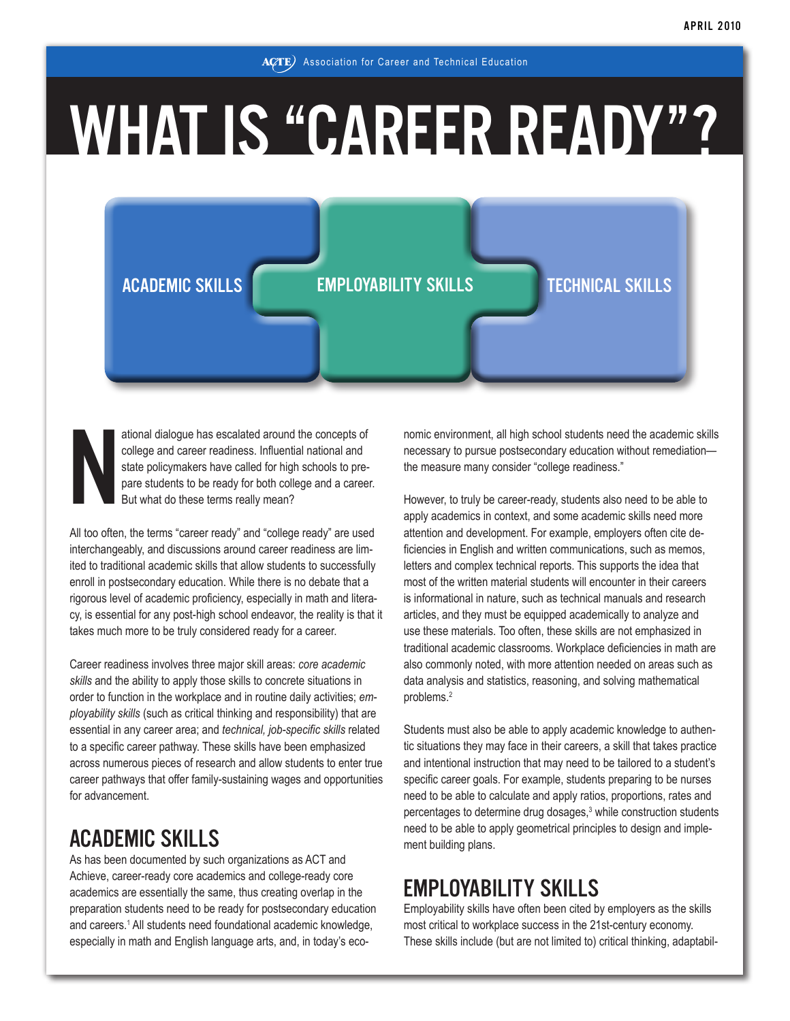# WHAT IS "CAREER READY"?

## ACADEMIC SKILLS EMPLOYABILITY SKILLS TECHNICAL SKILLS

ational dialogue has escalated around the concepts of<br>college and career readiness. Influential national and<br>state policymakers have called for high schools to pre-<br>pare students to be ready for both college and a career.<br> ational dialogue has escalated around the concepts of college and career readiness. Influential national and state policymakers have called for high schools to prepare students to be ready for both college and a career. But what do these terms really mean?

interchangeably, and discussions around career readiness are limited to traditional academic skills that allow students to successfully enroll in postsecondary education. While there is no debate that a rigorous level of academic proficiency, especially in math and literacy, is essential for any post-high school endeavor, the reality is that it takes much more to be truly considered ready for a career.

Career readiness involves three major skill areas: *core academic skills* and the ability to apply those skills to concrete situations in order to function in the workplace and in routine daily activities; *employability skills* (such as critical thinking and responsibility) that are essential in any career area; and *technical, job-specific skills* related to a specific career pathway. These skills have been emphasized across numerous pieces of research and allow students to enter true career pathways that offer family-sustaining wages and opportunities for advancement.

## ACADEMIC SKILLS

As has been documented by such organizations as ACT and Achieve, career-ready core academics and college-ready core academics are essentially the same, thus creating overlap in the preparation students need to be ready for postsecondary education and careers.<sup>1</sup> All students need foundational academic knowledge, especially in math and English language arts, and, in today's economic environment, all high school students need the academic skills necessary to pursue postsecondary education without remediation the measure many consider "college readiness."

However, to truly be career-ready, students also need to be able to apply academics in context, and some academic skills need more attention and development. For example, employers often cite deficiencies in English and written communications, such as memos, letters and complex technical reports. This supports the idea that most of the written material students will encounter in their careers is informational in nature, such as technical manuals and research articles, and they must be equipped academically to analyze and use these materials. Too often, these skills are not emphasized in traditional academic classrooms. Workplace deficiencies in math are also commonly noted, with more attention needed on areas such as data analysis and statistics, reasoning, and solving mathematical problems.2

Students must also be able to apply academic knowledge to authentic situations they may face in their careers, a skill that takes practice and intentional instruction that may need to be tailored to a student's specific career goals. For example, students preparing to be nurses need to be able to calculate and apply ratios, proportions, rates and percentages to determine drug dosages,<sup>3</sup> while construction students need to be able to apply geometrical principles to design and implement building plans.

## EMPLOYABILITY SKILLS

Employability skills have often been cited by employers as the skills most critical to workplace success in the 21st-century economy. These skills include (but are not limited to) critical thinking, adaptabil